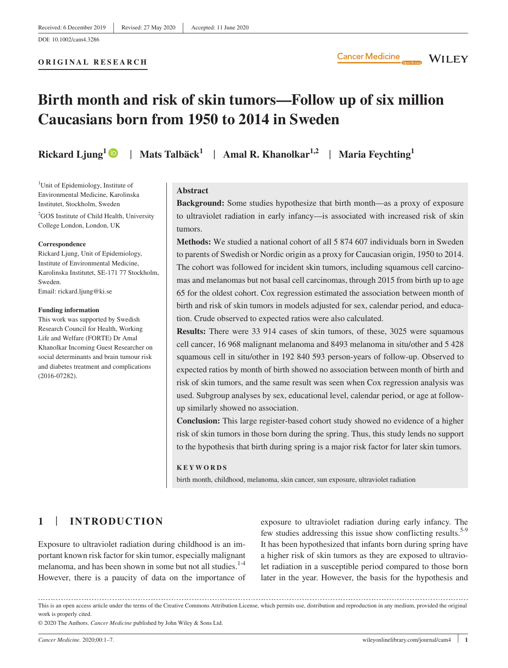**ORIGINAL RESEARCH**

# **Birth month and risk of skin tumors—Follow up of six million Caucasians born from 1950 to 2014 in Sweden**

Rickard Ljung<sup>[1](https://orcid.org/0000-0002-0654-4530)</sup> | Mats Talbäck<sup>1</sup> | Amal R. Khanolkar<sup>1,2</sup> | Maria Feychting<sup>1</sup>

<sup>1</sup>Unit of Epidemiology, Institute of Environmental Medicine, Karolinska Institutet, Stockholm, Sweden <sup>2</sup>GOS Institute of Child Health, University College London, London, UK

#### **Correspondence**

Rickard Ljung, Unit of Epidemiology, Institute of Environmental Medicine, Karolinska Institutet, SE-171 77 Stockholm, Sweden. Email: [rickard.ljung@ki.se](mailto:rickard.ljung@ki.se)

#### **Funding information**

This work was supported by Swedish Research Council for Health, Working Life and Welfare (FORTE) Dr Amal Khanolkar Incoming Guest Researcher on social determinants and brain tumour risk and diabetes treatment and complications (2016-07282).

### **Abstract**

**Background:** Some studies hypothesize that birth month—as a proxy of exposure to ultraviolet radiation in early infancy—is associated with increased risk of skin tumors.

**Methods:** We studied a national cohort of all 5 874 607 individuals born in Sweden to parents of Swedish or Nordic origin as a proxy for Caucasian origin, 1950 to 2014. The cohort was followed for incident skin tumors, including squamous cell carcinomas and melanomas but not basal cell carcinomas, through 2015 from birth up to age 65 for the oldest cohort. Cox regression estimated the association between month of birth and risk of skin tumors in models adjusted for sex, calendar period, and education. Crude observed to expected ratios were also calculated.

**Results:** There were 33 914 cases of skin tumors, of these, 3025 were squamous cell cancer, 16 968 malignant melanoma and 8493 melanoma in situ/other and 5 428 squamous cell in situ/other in 192 840 593 person-years of follow-up. Observed to expected ratios by month of birth showed no association between month of birth and risk of skin tumors, and the same result was seen when Cox regression analysis was used. Subgroup analyses by sex, educational level, calendar period, or age at followup similarly showed no association.

**Conclusion:** This large register-based cohort study showed no evidence of a higher risk of skin tumors in those born during the spring. Thus, this study lends no support to the hypothesis that birth during spring is a major risk factor for later skin tumors.

#### **KEYWORDS**

birth month, childhood, melanoma, skin cancer, sun exposure, ultraviolet radiation

# **1** | **INTRODUCTION**

Exposure to ultraviolet radiation during childhood is an important known risk factor for skin tumor, especially malignant melanoma, and has been shown in some but not all studies.<sup>1-4</sup> However, there is a paucity of data on the importance of exposure to ultraviolet radiation during early infancy. The few studies addressing this issue show conflicting results.<sup>5-9</sup> It has been hypothesized that infants born during spring have a higher risk of skin tumors as they are exposed to ultraviolet radiation in a susceptible period compared to those born later in the year. However, the basis for the hypothesis and

This is an open access article under the terms of the [Creative Commons Attribution](http://creativecommons.org/licenses/by/4.0/) License, which permits use, distribution and reproduction in any medium, provided the original work is properly cited.

© 2020 The Authors. *Cancer Medicine* published by John Wiley & Sons Ltd.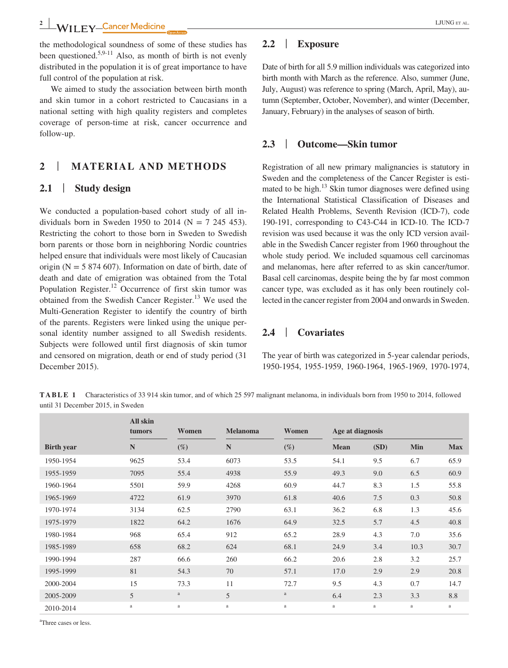**2 WII FV** Cancer Medicine <u>and the contract of the contract of the contract of the contract of the contract of the contract of the contract of the contract of the contract of the contract of the contract of the contract</u>

the methodological soundness of some of these studies has been questioned.<sup>5,9-11</sup> Also, as month of birth is not evenly distributed in the population it is of great importance to have full control of the population at risk.

We aimed to study the association between birth month and skin tumor in a cohort restricted to Caucasians in a national setting with high quality registers and completes coverage of person-time at risk, cancer occurrence and follow-up.

# **2** | **MATERIAL AND METHODS**

# **2.1** | **Study design**

We conducted a population-based cohort study of all individuals born in Sweden 1950 to 2014 ( $N = 7$  245 453). Restricting the cohort to those born in Sweden to Swedish born parents or those born in neighboring Nordic countries helped ensure that individuals were most likely of Caucasian origin ( $N = 5874607$ ). Information on date of birth, date of death and date of emigration was obtained from the Total Population Register.<sup>12</sup> Occurrence of first skin tumor was obtained from the Swedish Cancer Register.<sup>13</sup> We used the Multi-Generation Register to identify the country of birth of the parents. Registers were linked using the unique personal identity number assigned to all Swedish residents. Subjects were followed until first diagnosis of skin tumor and censored on migration, death or end of study period (31 December 2015).

# **2.2** | **Exposure**

Date of birth for all 5.9 million individuals was categorized into birth month with March as the reference. Also, summer (June, July, August) was reference to spring (March, April, May), autumn (September, October, November), and winter (December, January, February) in the analyses of season of birth.

#### **2.3** | **Outcome—Skin tumor**

Registration of all new primary malignancies is statutory in Sweden and the completeness of the Cancer Register is estimated to be high.<sup>13</sup> Skin tumor diagnoses were defined using the International Statistical Classification of Diseases and Related Health Problems, Seventh Revision (ICD-7), code 190-191, corresponding to C43-C44 in ICD-10. The ICD-7 revision was used because it was the only ICD version available in the Swedish Cancer register from 1960 throughout the whole study period. We included squamous cell carcinomas and melanomas, here after referred to as skin cancer/tumor. Basal cell carcinomas, despite being the by far most common cancer type, was excluded as it has only been routinely collected in the cancer register from 2004 and onwards in Sweden.

### **2.4** | **Covariates**

The year of birth was categorized in 5-year calendar periods, 1950-1954, 1955-1959, 1960-1964, 1965-1969, 1970-1974,

**TABLE 1** Characteristics of 33 914 skin tumor, and of which 25 597 malignant melanoma, in individuals born from 1950 to 2014, followed until 31 December 2015, in Sweden

|                   | <b>All skin</b><br>tumors | Women        | <b>Melanoma</b> | Women        | Age at diagnosis |          |      |            |
|-------------------|---------------------------|--------------|-----------------|--------------|------------------|----------|------|------------|
| <b>Birth year</b> | $\mathbb N$               | $(\%)$       | N               | $(\%)$       | <b>Mean</b>      | (SD)     | Min  | <b>Max</b> |
| 1950-1954         | 9625                      | 53.4         | 6073            | 53.5         | 54.1             | 9.5      | 6.7  | 65.9       |
| 1955-1959         | 7095                      | 55.4         | 4938            | 55.9         | 49.3             | 9.0      | 6.5  | 60.9       |
| 1960-1964         | 5501                      | 59.9         | 4268            | 60.9         | 44.7             | 8.3      | 1.5  | 55.8       |
| 1965-1969         | 4722                      | 61.9         | 3970            | 61.8         | 40.6             | 7.5      | 0.3  | 50.8       |
| 1970-1974         | 3134                      | 62.5         | 2790            | 63.1         | 36.2             | 6.8      | 1.3  | 45.6       |
| 1975-1979         | 1822                      | 64.2         | 1676            | 64.9         | 32.5             | 5.7      | 4.5  | 40.8       |
| 1980-1984         | 968                       | 65.4         | 912             | 65.2         | 28.9             | 4.3      | 7.0  | 35.6       |
| 1985-1989         | 658                       | 68.2         | 624             | 68.1         | 24.9             | 3.4      | 10.3 | 30.7       |
| 1990-1994         | 287                       | 66.6         | 260             | 66.2         | 20.6             | 2.8      | 3.2  | 25.7       |
| 1995-1999         | 81                        | 54.3         | 70              | 57.1         | 17.0             | 2.9      | 2.9  | 20.8       |
| 2000-2004         | 15                        | 73.3         | 11              | 72.7         | 9.5              | 4.3      | 0.7  | 14.7       |
| 2005-2009         | 5                         | $\rm{a}$     | $\overline{5}$  | $\mathbf{a}$ | 6.4              | 2.3      | 3.3  | 8.8        |
| 2010-2014         | a                         | $\mathbf{a}$ | a               | a            | a                | $\rm{a}$ | a    | $\rm{a}$   |

a Three cases or less.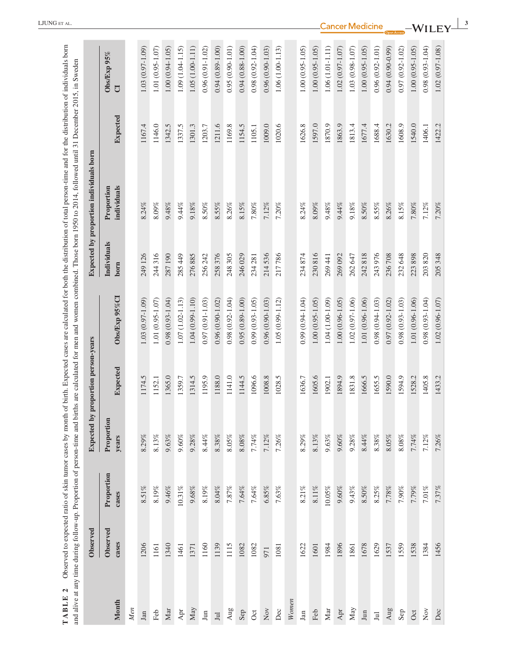|                           |                   |                     |                     |                            |                     |                     | and alive at any time during follow-up. Proportion of person-time and births are calculated for men and women combined. Those born 1950 to 2014, followed until 31 December 2015, in Sweden |                 |                             |
|---------------------------|-------------------|---------------------|---------------------|----------------------------|---------------------|---------------------|---------------------------------------------------------------------------------------------------------------------------------------------------------------------------------------------|-----------------|-----------------------------|
|                           | Observed          |                     | <b>Expected</b>     | by proportion person-years |                     |                     | Expected by proportion individuals born                                                                                                                                                     |                 |                             |
| Month                     | Observed<br>cases | Proportion<br>cases | Proportion<br>years | <b>Expected</b>            | Obs/Exp 95%CI       | Individuals<br>born | individuals<br>Proportion                                                                                                                                                                   | <b>Expected</b> | Obs/Exp 95%<br>$\mathbf{C}$ |
| Men                       |                   |                     |                     |                            |                     |                     |                                                                                                                                                                                             |                 |                             |
| Jan                       | 1206              | 8.51%               | 8.29%               | 1174.5                     | 1.03 (0.97-1.09)    | 249 126             | 8.24%                                                                                                                                                                                       | 1167.4          | 1.03 (0.97-1.09)            |
| Feb                       | 1161              | $8.19\%$            | 8.13%               | 1152.1                     | 1.01 (0.95-1.07)    | 244 316             | 8.09%                                                                                                                                                                                       | 1146.0          | 1.01 (0.95-1.07)            |
| Mar                       | 1340              | 9.46%               | 9.63%               | 1365.0                     | $0.98(0.93 - 1.04)$ | 287190              | 9.48%                                                                                                                                                                                       | 1342.5          | 1.00 (0.94-1.05)            |
| $\rm Apr$                 | 1461              | $10.31\%$           | 9.60%               | 1359.7                     | $1.07(1.02 - 1.13)$ | 285 449             | 9.44%                                                                                                                                                                                       | 1337.5          | $1.09(1.04 - 1.15)$         |
| May                       | 1371              | $9.68\%$            | 9.28%               | 1314.5                     | $1.04(0.99 - 1.10)$ | 276885              | 9.18%                                                                                                                                                                                       | 1301.3          | $1.05(1.00-1.11)$           |
| $_{\mathrm{Jun}}$         | 1160              | 8.19%               | 8.44%               | 1195.9                     | $0.97(0.91 - 1.03)$ | 256 242             | 8.50%                                                                                                                                                                                       | 1203.7          | $0.96(0.91 - 1.02)$         |
| Jul                       | 1139              | $8.04\%$            | $8.38\%$            | 1188.0                     | $0.96(0.90-1.02)$   | 258376              | 8.55%                                                                                                                                                                                       | 1211.6          | $0.94(0.89 - 1.00)$         |
| Aug                       | 1115              | 7.87%               | $8.05\%$            | 1141.0                     | $0.98(0.92 - 1.04)$ | 248 305             | 8.26%                                                                                                                                                                                       | 1169.8          | $0.95(0.90 - 1.01)$         |
| Sep                       | 1082              | 7.64%               | $8.08\%$            | 1144.5                     | $0.95(0.89 - 1.00)$ | 246029              | 8.15%                                                                                                                                                                                       | 1154.5          | $0.94(0.88 - 1.00)$         |
| <b>Oct</b>                | 1082              | 7.64%               | $7.74\%$            | 1096.6                     | $0.99(0.93 - 1.05)$ | 234 281             | 7.80%                                                                                                                                                                                       | 1105.1          | $0.98(0.92 - 1.04)$         |
| $_{\rm Nov}$              | 971               | 6.85%               | 7.12%               | 1008.8                     | $0.96(0.90-1.03)$   | 214536              | 7.12%                                                                                                                                                                                       | 1009.0          | $0.96(0.90-1.03)$           |
| Dec                       | 1081              | 7.63%               | 7.26%               | 1028.5                     | 1.05 (0.99-1.12)    | 217786              | 7.20%                                                                                                                                                                                       | 1020.6          | $1.06(1.00-1.13)$           |
| Women                     |                   |                     |                     |                            |                     |                     |                                                                                                                                                                                             |                 |                             |
| Jan                       | 1622              | $8.21\%$            | 8.29%               | 1636.7                     | $(0.99(0.94-1.04))$ | 234874              | 8.24%                                                                                                                                                                                       | 1626.8          | $1.00(0.95 - 1.05)$         |
| Feb                       | 1601              | 8.11%               | 8.13%               | 1605.6                     | $1.00(0.95 - 1.05)$ | 230816              | 8.09%                                                                                                                                                                                       | 1597.0          | $1.00(0.95 - 1.05)$         |
| Mar                       | 1984              | $10.05\%$           | $9.63\%$            | 1902.1                     | 1.04 (1.00-1.09)    | 269 441             | 9.48%                                                                                                                                                                                       | 1870.9          | $1.06(1.01-1.11)$           |
| $\mbox{\bf Apr}$          | 1896              | $9.60\%$            | 9.60%               | 1894.9                     | 1.00 (0.96-1.05)    | 269 092             | 9.44%                                                                                                                                                                                       | 1863.9          | $1.02(0.97 - 1.07)$         |
| May                       | 1861              | 9.43%               | 9.28%               | 1831.8                     | 1.02 (0.97-1.06)    | 262 647             | 9.18%                                                                                                                                                                                       | 1813.4          | $1.03(0.98-1.07)$           |
| Jun                       | 1678              | 8.50%               | 8.44%               | 1666.5                     | 1.01 (0.96-1.06)    | 242818              | 8.50%                                                                                                                                                                                       | 1677.4          | $1.00(0.95 - 1.05)$         |
| $\ensuremath{\mathbb{H}}$ | 1629              | 8.25%               | $8.38\%$            | 1655.5                     | $0.98(0.94-1.03)$   | 243976              | 8.55%                                                                                                                                                                                       | 1688.4          | $0.96(0.92 - 1.01)$         |
| Aug                       | 1537              | 7.78%               | $8.05\%$            | 1590.0                     | $0.97(0.92 - 1.02)$ | 236708              | 8.26%                                                                                                                                                                                       | 1630.2          | $0.94(0.90-0.99)$           |
| Sep                       | 1559              | $7.90\%$            | $8.08\%$            | 1594.9                     | $0.98(0.93 - 1.03)$ | 232648              | 8.15%                                                                                                                                                                                       | 1608.9          | $0.97(0.92 - 1.02)$         |
| <b>Oct</b>                | 1538              | 7.79%               | 7.74%               | 1528.2                     | 1.01 (0.96-1.06)    | 223898              | 7.80%                                                                                                                                                                                       | 1540.0          | $1.00(0.95 - 1.05)$         |
| $\sum_{i=1}^{\infty}$     | 1384              | $7.01\%$            | 7.12%               | 1405.8                     | $0.98(0.93 - 1.04)$ | 203820              | 7.12%                                                                                                                                                                                       | 1406.1          | $0.98(0.93 - 1.04)$         |
| Dec                       | 1456              | 7.37%               | 7.26%               | 1433.2                     | $1.02(0.96 - 1.07)$ | 205348              | 7.20%                                                                                                                                                                                       | 1422.2          | $1.02(0.97 - 1.08)$         |
|                           |                   |                     |                     |                            |                     |                     |                                                                                                                                                                                             |                 |                             |

Observed to expected ratio of skin tumor cases by month of birth. Expected cases are calculated for both the distribution of total person-time and for the distribution of individuals born **TABLE 2** Observed to expected ratio of skin tumor cases by month of birth. Expected cases are calculated for both the distribution of total person-time and for the distribution of individuals born TABLE 2

 **3**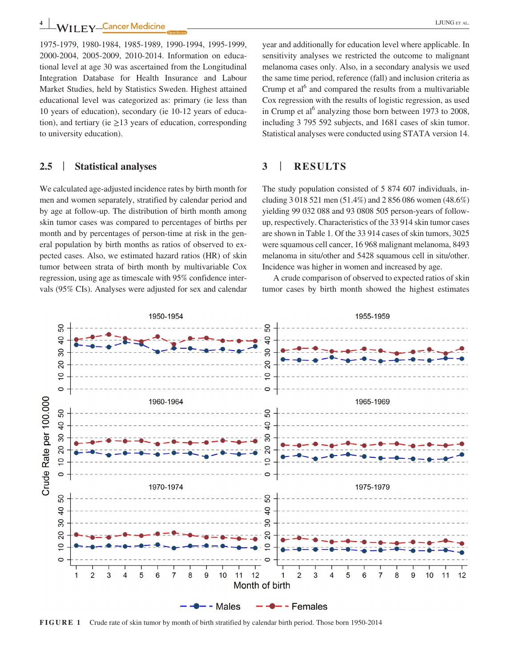**4 LIVICE CANCER Medicine** 20 **LIVICE CANCER 20 <b>LIVICE CALCER** 20 **LIVICE CALCER** 4

1975-1979, 1980-1984, 1985-1989, 1990-1994, 1995-1999, 2000-2004, 2005-2009, 2010-2014. Information on educational level at age 30 was ascertained from the Longitudinal Integration Database for Health Insurance and Labour Market Studies, held by Statistics Sweden. Highest attained educational level was categorized as: primary (ie less than 10 years of education), secondary (ie 10-12 years of education), and tertiary (ie  $\geq$ 13 years of education, corresponding to university education).

## **2.5** | **Statistical analyses**

We calculated age-adjusted incidence rates by birth month for men and women separately, stratified by calendar period and by age at follow-up. The distribution of birth month among skin tumor cases was compared to percentages of births per month and by percentages of person-time at risk in the general population by birth months as ratios of observed to expected cases. Also, we estimated hazard ratios (HR) of skin tumor between strata of birth month by multivariable Cox regression, using age as timescale with 95% confidence intervals (95% CIs). Analyses were adjusted for sex and calendar year and additionally for education level where applicable. In sensitivity analyses we restricted the outcome to malignant melanoma cases only. Also, in a secondary analysis we used the same time period, reference (fall) and inclusion criteria as Crump et  $al<sup>6</sup>$  and compared the results from a multivariable Cox regression with the results of logistic regression, as used in Crump et al<sup>6</sup> analyzing those born between 1973 to 2008, including 3 795 592 subjects, and 1681 cases of skin tumor. Statistical analyses were conducted using STATA version 14.

## **3** | **RESULTS**

The study population consisted of 5 874 607 individuals, including 3 018 521 men (51.4%) and 2 856 086 women (48.6%) yielding 99 032 088 and 93 0808 505 person-years of followup, respectively. Characteristics of the 33 914 skin tumor cases are shown in Table 1. Of the 33 914 cases of skin tumors, 3025 were squamous cell cancer, 16 968 malignant melanoma, 8493 melanoma in situ/other and 5428 squamous cell in situ/other. Incidence was higher in women and increased by age.

A crude comparison of observed to expected ratios of skin tumor cases by birth month showed the highest estimates



**FIGURE 1** Crude rate of skin tumor by month of birth stratified by calendar birth period. Those born 1950-2014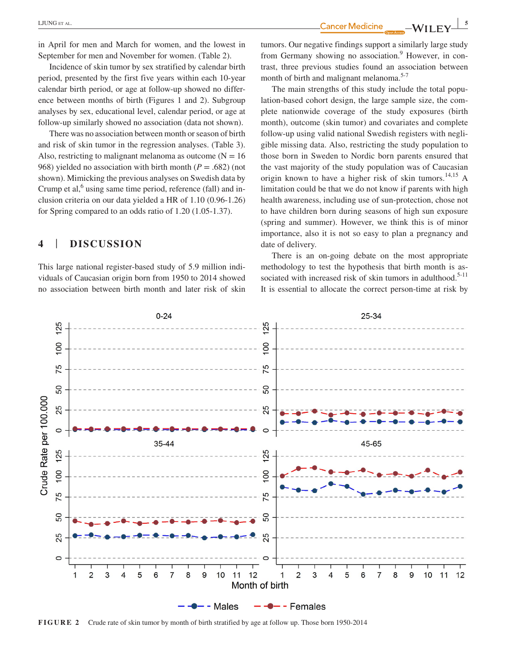in April for men and March for women, and the lowest in September for men and November for women. (Table 2).

Incidence of skin tumor by sex stratified by calendar birth period, presented by the first five years within each 10-year calendar birth period, or age at follow-up showed no difference between months of birth (Figures 1 and 2). Subgroup analyses by sex, educational level, calendar period, or age at follow-up similarly showed no association (data not shown).

There was no association between month or season of birth and risk of skin tumor in the regression analyses. (Table 3). Also, restricting to malignant melanoma as outcome  $(N = 16$ 968) yielded no association with birth month  $(P = .682)$  (not shown). Mimicking the previous analyses on Swedish data by Crump et al, $^6$  using same time period, reference (fall) and inclusion criteria on our data yielded a HR of 1.10 (0.96-1.26) for Spring compared to an odds ratio of 1.20 (1.05-1.37).

# **4** | **DISCUSSION**

This large national register-based study of 5.9 million individuals of Caucasian origin born from 1950 to 2014 showed no association between birth month and later risk of skin tumors. Our negative findings support a similarly large study from Germany showing no association.<sup>9</sup> However, in contrast, three previous studies found an association between month of birth and malignant melanoma.<sup>5-7</sup>

The main strengths of this study include the total population-based cohort design, the large sample size, the complete nationwide coverage of the study exposures (birth month), outcome (skin tumor) and covariates and complete follow-up using valid national Swedish registers with negligible missing data. Also, restricting the study population to those born in Sweden to Nordic born parents ensured that the vast majority of the study population was of Caucasian origin known to have a higher risk of skin tumors.<sup>14,15</sup> A limitation could be that we do not know if parents with high health awareness, including use of sun-protection, chose not to have children born during seasons of high sun exposure (spring and summer). However, we think this is of minor importance, also it is not so easy to plan a pregnancy and date of delivery.

There is an on-going debate on the most appropriate methodology to test the hypothesis that birth month is associated with increased risk of skin tumors in adulthood.<sup>5-11</sup> It is essential to allocate the correct person-time at risk by



**FIGURE 2** Crude rate of skin tumor by month of birth stratified by age at follow up. Those born 1950-2014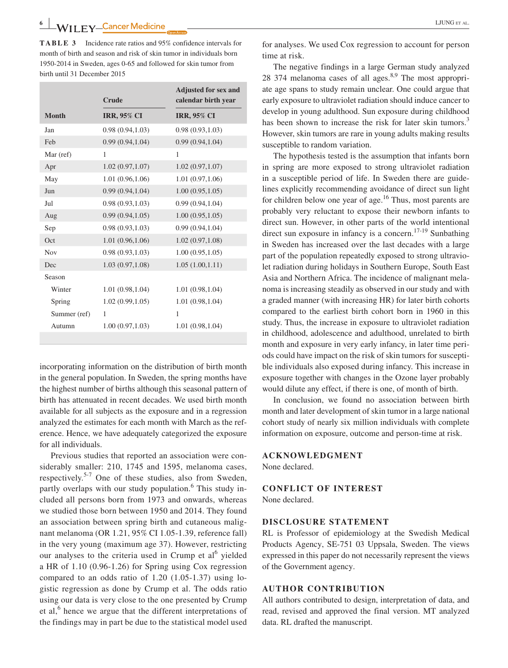**TABLE 3** Incidence rate ratios and 95% confidence intervals for month of birth and season and risk of skin tumor in individuals born 1950-2014 in Sweden, ages 0-65 and followed for skin tumor from birth until 31 December 2015

|              | <b>Crude</b>       | <b>Adjusted for sex and</b><br>calendar birth year |
|--------------|--------------------|----------------------------------------------------|
| <b>Month</b> | <b>IRR, 95% CI</b> | <b>IRR, 95% CI</b>                                 |
| Jan          | 0.98(0.94, 1.03)   | 0.98(0.93, 1.03)                                   |
| Feb          | 0.99(0.94, 1.04)   | 0.99(0.94, 1.04)                                   |
| Mar (ref)    | 1                  | 1                                                  |
| Apr          | 1.02(0.97, 1.07)   | 1.02(0.97, 1.07)                                   |
| May          | 1.01(0.96, 1.06)   | 1.01(0.97, 1.06)                                   |
| Jun          | 0.99(0.94, 1.04)   | 1.00(0.95, 1.05)                                   |
| Jul          | 0.98(0.93, 1.03)   | 0.99(0.94, 1.04)                                   |
| Aug          | 0.99(0.94, 1.05)   | 1.00(0.95, 1.05)                                   |
| Sep          | 0.98(0.93, 1.03)   | 0.99(0.94, 1.04)                                   |
| Oct          | 1.01(0.96, 1.06)   | 1.02(0.97, 1.08)                                   |
| <b>Nov</b>   | 0.98(0.93, 1.03)   | 1.00(0.95, 1.05)                                   |
| Dec          | 1.03(0.97, 1.08)   | 1.05(1.00, 1.11)                                   |
| Season       |                    |                                                    |
| Winter       | 1.01(0.98, 1.04)   | 1.01(0.98, 1.04)                                   |
| Spring       | 1.02(0.99, 1.05)   | 1.01(0.98, 1.04)                                   |
| Summer (ref) | 1                  | 1                                                  |
| Autumn       | 1.00(0.97, 1.03)   | 1.01(0.98, 1.04)                                   |
|              |                    |                                                    |

incorporating information on the distribution of birth month in the general population. In Sweden, the spring months have the highest number of births although this seasonal pattern of birth has attenuated in recent decades. We used birth month available for all subjects as the exposure and in a regression analyzed the estimates for each month with March as the reference. Hence, we have adequately categorized the exposure for all individuals.

Previous studies that reported an association were considerably smaller: 210, 1745 and 1595, melanoma cases, respectively.5-7 One of these studies, also from Sweden, partly overlaps with our study population.<sup>6</sup> This study included all persons born from 1973 and onwards, whereas we studied those born between 1950 and 2014. They found an association between spring birth and cutaneous malignant melanoma (OR 1.21, 95% CI 1.05-1.39, reference fall) in the very young (maximum age 37). However, restricting our analyses to the criteria used in Crump et al<sup>6</sup> yielded a HR of 1.10 (0.96-1.26) for Spring using Cox regression compared to an odds ratio of 1.20 (1.05-1.37) using logistic regression as done by Crump et al. The odds ratio using our data is very close to the one presented by Crump et al, $<sup>6</sup>$  hence we argue that the different interpretations of</sup> the findings may in part be due to the statistical model used

for analyses. We used Cox regression to account for person time at risk.

The negative findings in a large German study analyzed 28 374 melanoma cases of all ages. $8,9$  The most appropriate age spans to study remain unclear. One could argue that early exposure to ultraviolet radiation should induce cancer to develop in young adulthood. Sun exposure during childhood has been shown to increase the risk for later skin tumors.<sup>3</sup> However, skin tumors are rare in young adults making results susceptible to random variation.

The hypothesis tested is the assumption that infants born in spring are more exposed to strong ultraviolet radiation in a susceptible period of life. In Sweden there are guidelines explicitly recommending avoidance of direct sun light for children below one year of age.<sup>16</sup> Thus, most parents are probably very reluctant to expose their newborn infants to direct sun. However, in other parts of the world intentional direct sun exposure in infancy is a concern.<sup>17-19</sup> Sunbathing in Sweden has increased over the last decades with a large part of the population repeatedly exposed to strong ultraviolet radiation during holidays in Southern Europe, South East Asia and Northern Africa. The incidence of malignant melanoma is increasing steadily as observed in our study and with a graded manner (with increasing HR) for later birth cohorts compared to the earliest birth cohort born in 1960 in this study. Thus, the increase in exposure to ultraviolet radiation in childhood, adolescence and adulthood, unrelated to birth month and exposure in very early infancy, in later time periods could have impact on the risk of skin tumors for susceptible individuals also exposed during infancy. This increase in exposure together with changes in the Ozone layer probably would dilute any effect, if there is one, of month of birth.

In conclusion, we found no association between birth month and later development of skin tumor in a large national cohort study of nearly six million individuals with complete information on exposure, outcome and person-time at risk.

#### **ACKNOWLEDGMENT**

None declared.

# **CONFLICT OF INTEREST**

None declared.

#### **DISCLOSURE STATEMENT**

RL is Professor of epidemiology at the Swedish Medical Products Agency, SE-751 03 Uppsala, Sweden. The views expressed in this paper do not necessarily represent the views of the Government agency.

#### **AUTHOR CONTRIBUTION**

All authors contributed to design, interpretation of data, and read, revised and approved the final version. MT analyzed data. RL drafted the manuscript.